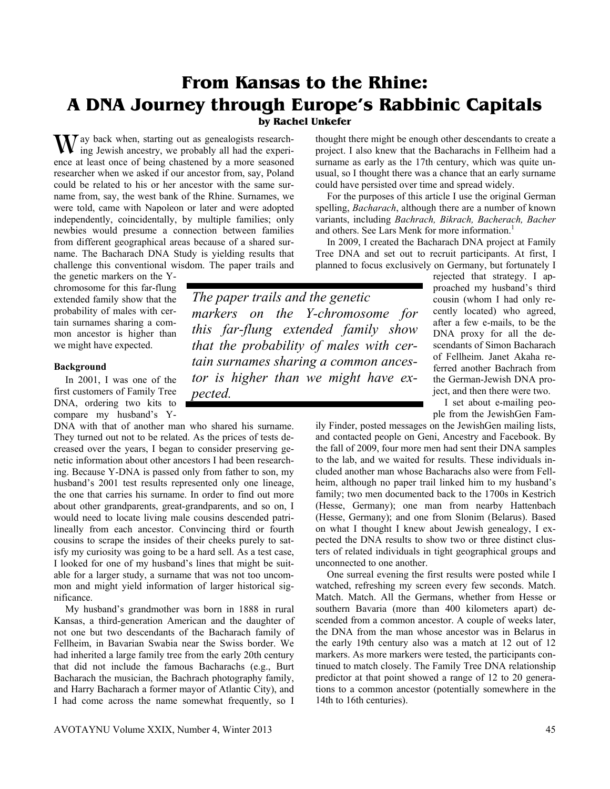# **From Kansas to the Rhine: A DNA Journey through Europe's Rabbinic Capitals**

## **by Rachel Unkefer**

ay back when, starting out as genealogists research-W ay back when, starting out as genealogists research-<br>ing Jewish ancestry, we probably all had the experience at least once of being chastened by a more seasoned researcher when we asked if our ancestor from, say, Poland could be related to his or her ancestor with the same surname from, say, the west bank of the Rhine. Surnames, we were told, came with Napoleon or later and were adopted independently, coincidentally, by multiple families; only newbies would presume a connection between families from different geographical areas because of a shared surname. The Bacharach DNA Study is yielding results that challenge this conventional wisdom. The paper trails and

the genetic markers on the Ychromosome for this far-flung extended family show that the probability of males with certain surnames sharing a common ancestor is higher than we might have expected.

## **Background**

 In 2001, I was one of the first customers of Family Tree DNA, ordering two kits to compare my husband's Y-

DNA with that of another man who shared his surname. They turned out not to be related. As the prices of tests decreased over the years, I began to consider preserving genetic information about other ancestors I had been researching. Because Y-DNA is passed only from father to son, my husband's 2001 test results represented only one lineage, the one that carries his surname. In order to find out more about other grandparents, great-grandparents, and so on, I would need to locate living male cousins descended patrilineally from each ancestor. Convincing third or fourth cousins to scrape the insides of their cheeks purely to satisfy my curiosity was going to be a hard sell. As a test case, I looked for one of my husband's lines that might be suitable for a larger study, a surname that was not too uncommon and might yield information of larger historical significance.

 My husband's grandmother was born in 1888 in rural Kansas, a third-generation American and the daughter of not one but two descendants of the Bacharach family of Fellheim, in Bavarian Swabia near the Swiss border. We had inherited a large family tree from the early 20th century that did not include the famous Bacharachs (e.g., Burt Bacharach the musician, the Bachrach photography family, and Harry Bacharach a former mayor of Atlantic City), and I had come across the name somewhat frequently, so I

thought there might be enough other descendants to create a project. I also knew that the Bacharachs in Fellheim had a surname as early as the 17th century, which was quite unusual, so I thought there was a chance that an early surname could have persisted over time and spread widely.

 For the purposes of this article I use the original German spelling, *Bacharach*, although there are a number of known variants, including *Bachrach, Bikrach, Bacherach, Bacher* and others. See Lars Menk for more information.<sup>1</sup>

In 2009, I created the Bacharach DNA project at Family Tree DNA and set out to recruit participants. At first, I planned to focus exclusively on Germany, but fortunately I

*The paper trails and the genetic markers on the Y-chromosome for this far-flung extended family show that the probability of males with certain surnames sharing a common ancestor is higher than we might have expected.* 

rejected that strategy. I approached my husband's third cousin (whom I had only recently located) who agreed, after a few e-mails, to be the DNA proxy for all the descendants of Simon Bacharach of Fellheim. Janet Akaha referred another Bachrach from the German-Jewish DNA project, and then there were two.

 I set about e-mailing people from the JewishGen Fam-

ily Finder, posted messages on the JewishGen mailing lists, and contacted people on Geni, Ancestry and Facebook. By the fall of 2009, four more men had sent their DNA samples to the lab, and we waited for results. These individuals included another man whose Bacharachs also were from Fellheim, although no paper trail linked him to my husband's family; two men documented back to the 1700s in Kestrich (Hesse, Germany); one man from nearby Hattenbach (Hesse, Germany); and one from Slonim (Belarus). Based on what I thought I knew about Jewish genealogy, I expected the DNA results to show two or three distinct clusters of related individuals in tight geographical groups and unconnected to one another.

 One surreal evening the first results were posted while I watched, refreshing my screen every few seconds. Match. Match. Match. All the Germans, whether from Hesse or southern Bavaria (more than 400 kilometers apart) descended from a common ancestor. A couple of weeks later, the DNA from the man whose ancestor was in Belarus in the early 19th century also was a match at 12 out of 12 markers. As more markers were tested, the participants continued to match closely. The Family Tree DNA relationship predictor at that point showed a range of 12 to 20 generations to a common ancestor (potentially somewhere in the 14th to 16th centuries).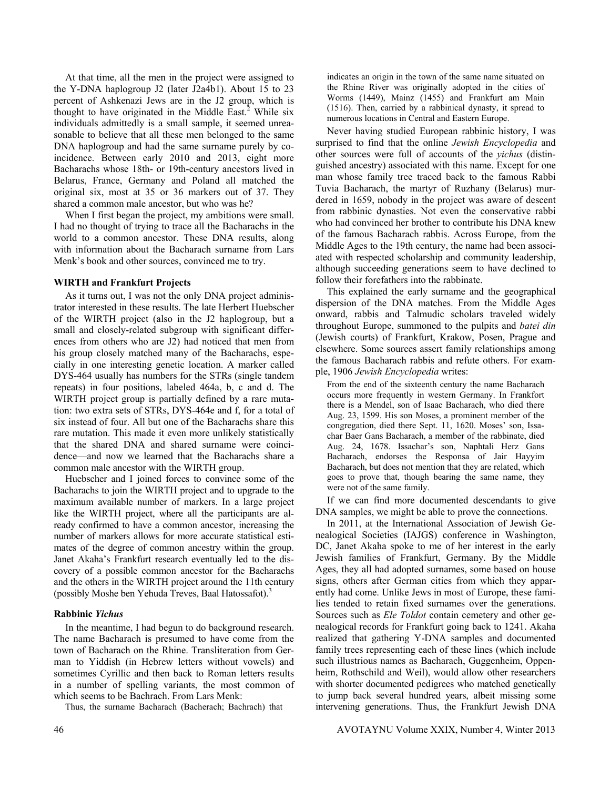At that time, all the men in the project were assigned to the Y-DNA haplogroup J2 (later J2a4b1). About 15 to 23 percent of Ashkenazi Jews are in the J2 group, which is thought to have originated in the Middle East.<sup>2</sup> While six individuals admittedly is a small sample, it seemed unreasonable to believe that all these men belonged to the same DNA haplogroup and had the same surname purely by coincidence. Between early 2010 and 2013, eight more Bacharachs whose 18th- or 19th-century ancestors lived in Belarus, France, Germany and Poland all matched the original six, most at 35 or 36 markers out of 37. They shared a common male ancestor, but who was he?

 When I first began the project, my ambitions were small. I had no thought of trying to trace all the Bacharachs in the world to a common ancestor. These DNA results, along with information about the Bacharach surname from Lars Menk's book and other sources, convinced me to try.

## **WIRTH and Frankfurt Projects**

 As it turns out, I was not the only DNA project administrator interested in these results. The late Herbert Huebscher of the WIRTH project (also in the J2 haplogroup, but a small and closely-related subgroup with significant differences from others who are J2) had noticed that men from his group closely matched many of the Bacharachs, especially in one interesting genetic location. A marker called DYS-464 usually has numbers for the STRs (single tandem repeats) in four positions, labeled 464a, b, c and d. The WIRTH project group is partially defined by a rare mutation: two extra sets of STRs, DYS-464e and f, for a total of six instead of four. All but one of the Bacharachs share this rare mutation. This made it even more unlikely statistically that the shared DNA and shared surname were coincidence—and now we learned that the Bacharachs share a common male ancestor with the WIRTH group.

 Huebscher and I joined forces to convince some of the Bacharachs to join the WIRTH project and to upgrade to the maximum available number of markers. In a large project like the WIRTH project, where all the participants are already confirmed to have a common ancestor, increasing the number of markers allows for more accurate statistical estimates of the degree of common ancestry within the group. Janet Akaha's Frankfurt research eventually led to the discovery of a possible common ancestor for the Bacharachs and the others in the WIRTH project around the 11th century (possibly Moshe ben Yehuda Treves, Baal Hatossafot).<sup>3</sup>

## **Rabbinic** *Yichus*

 In the meantime, I had begun to do background research. The name Bacharach is presumed to have come from the town of Bacharach on the Rhine. Transliteration from German to Yiddish (in Hebrew letters without vowels) and sometimes Cyrillic and then back to Roman letters results in a number of spelling variants, the most common of which seems to be Bachrach. From Lars Menk:

Thus, the surname Bacharach (Bacherach; Bachrach) that

indicates an origin in the town of the same name situated on the Rhine River was originally adopted in the cities of Worms (1449), Mainz (1455) and Frankfurt am Main (1516). Then, carried by a rabbinical dynasty, it spread to numerous locations in Central and Eastern Europe.

 Never having studied European rabbinic history, I was surprised to find that the online *Jewish Encyclopedia* and other sources were full of accounts of the *yichus* (distinguished ancestry) associated with this name. Except for one man whose family tree traced back to the famous Rabbi Tuvia Bacharach, the martyr of Ruzhany (Belarus) murdered in 1659, nobody in the project was aware of descent from rabbinic dynasties. Not even the conservative rabbi who had convinced her brother to contribute his DNA knew of the famous Bacharach rabbis. Across Europe, from the Middle Ages to the 19th century, the name had been associated with respected scholarship and community leadership, although succeeding generations seem to have declined to follow their forefathers into the rabbinate.

 This explained the early surname and the geographical dispersion of the DNA matches. From the Middle Ages onward, rabbis and Talmudic scholars traveled widely throughout Europe, summoned to the pulpits and *batei din*  (Jewish courts) of Frankfurt, Krakow, Posen, Prague and elsewhere. Some sources assert family relationships among the famous Bacharach rabbis and refute others. For example, 1906 *Jewish Encyclopedia* writes:

From the end of the sixteenth century the name Bacharach occurs more frequently in western Germany. In Frankfort there is a Mendel, son of Isaac Bacharach, who died there Aug. 23, 1599. His son Moses, a prominent member of the congregation, died there Sept. 11, 1620. Moses' son, Issachar Baer Gans Bacharach, a member of the rabbinate, died Aug. 24, 1678. Issachar's son, Naphtali Herz Gans Bacharach, endorses the Responsa of Jair Hayyim Bacharach, but does not mention that they are related, which goes to prove that, though bearing the same name, they were not of the same family.

 If we can find more documented descendants to give DNA samples, we might be able to prove the connections.

 In 2011, at the International Association of Jewish Genealogical Societies (IAJGS) conference in Washington, DC, Janet Akaha spoke to me of her interest in the early Jewish families of Frankfurt, Germany. By the Middle Ages, they all had adopted surnames, some based on house signs, others after German cities from which they apparently had come. Unlike Jews in most of Europe, these families tended to retain fixed surnames over the generations. Sources such as *Ele Toldot* contain cemetery and other genealogical records for Frankfurt going back to 1241. Akaha realized that gathering Y-DNA samples and documented family trees representing each of these lines (which include such illustrious names as Bacharach, Guggenheim, Oppenheim, Rothschild and Weil), would allow other researchers with shorter documented pedigrees who matched genetically to jump back several hundred years, albeit missing some intervening generations. Thus, the Frankfurt Jewish DNA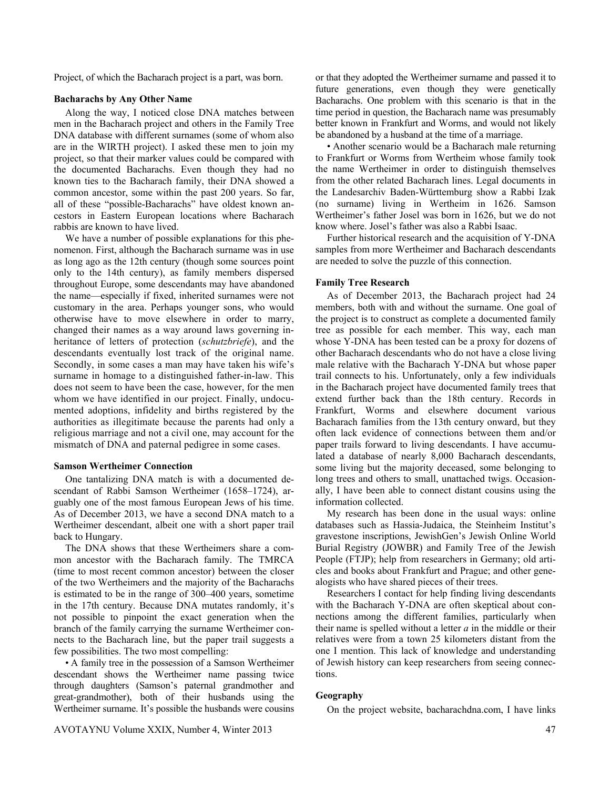Project, of which the Bacharach project is a part, was born.

#### **Bacharachs by Any Other Name**

 Along the way, I noticed close DNA matches between men in the Bacharach project and others in the Family Tree DNA database with different surnames (some of whom also are in the WIRTH project). I asked these men to join my project, so that their marker values could be compared with the documented Bacharachs. Even though they had no known ties to the Bacharach family, their DNA showed a common ancestor, some within the past 200 years. So far, all of these "possible-Bacharachs" have oldest known ancestors in Eastern European locations where Bacharach rabbis are known to have lived.

 We have a number of possible explanations for this phenomenon. First, although the Bacharach surname was in use as long ago as the 12th century (though some sources point only to the 14th century), as family members dispersed throughout Europe, some descendants may have abandoned the name—especially if fixed, inherited surnames were not customary in the area. Perhaps younger sons, who would otherwise have to move elsewhere in order to marry, changed their names as a way around laws governing inheritance of letters of protection (*schutzbriefe*), and the descendants eventually lost track of the original name. Secondly, in some cases a man may have taken his wife's surname in homage to a distinguished father-in-law. This does not seem to have been the case, however, for the men whom we have identified in our project. Finally, undocumented adoptions, infidelity and births registered by the authorities as illegitimate because the parents had only a religious marriage and not a civil one, may account for the mismatch of DNA and paternal pedigree in some cases.

#### **Samson Wertheimer Connection**

One tantalizing DNA match is with a documented descendant of Rabbi Samson Wertheimer (1658–1724), arguably one of the most famous European Jews of his time. As of December 2013, we have a second DNA match to a Wertheimer descendant, albeit one with a short paper trail back to Hungary.

 The DNA shows that these Wertheimers share a common ancestor with the Bacharach family. The TMRCA (time to most recent common ancestor) between the closer of the two Wertheimers and the majority of the Bacharachs is estimated to be in the range of 300–400 years, sometime in the 17th century. Because DNA mutates randomly, it's not possible to pinpoint the exact generation when the branch of the family carrying the surname Wertheimer connects to the Bacharach line, but the paper trail suggests a few possibilities. The two most compelling:

 • A family tree in the possession of a Samson Wertheimer descendant shows the Wertheimer name passing twice through daughters (Samson's paternal grandmother and great-grandmother), both of their husbands using the Wertheimer surname. It's possible the husbands were cousins or that they adopted the Wertheimer surname and passed it to future generations, even though they were genetically Bacharachs. One problem with this scenario is that in the time period in question, the Bacharach name was presumably better known in Frankfurt and Worms, and would not likely be abandoned by a husband at the time of a marriage.

 • Another scenario would be a Bacharach male returning to Frankfurt or Worms from Wertheim whose family took the name Wertheimer in order to distinguish themselves from the other related Bacharach lines. Legal documents in the Landesarchiv Baden-Württemburg show a Rabbi Izak (no surname) living in Wertheim in 1626. Samson Wertheimer's father Josel was born in 1626, but we do not know where. Josel's father was also a Rabbi Isaac.

 Further historical research and the acquisition of Y-DNA samples from more Wertheimer and Bacharach descendants are needed to solve the puzzle of this connection.

#### **Family Tree Research**

 As of December 2013, the Bacharach project had 24 members, both with and without the surname. One goal of the project is to construct as complete a documented family tree as possible for each member. This way, each man whose Y-DNA has been tested can be a proxy for dozens of other Bacharach descendants who do not have a close living male relative with the Bacharach Y-DNA but whose paper trail connects to his. Unfortunately, only a few individuals in the Bacharach project have documented family trees that extend further back than the 18th century. Records in Frankfurt, Worms and elsewhere document various Bacharach families from the 13th century onward, but they often lack evidence of connections between them and/or paper trails forward to living descendants. I have accumulated a database of nearly 8,000 Bacharach descendants, some living but the majority deceased, some belonging to long trees and others to small, unattached twigs. Occasionally, I have been able to connect distant cousins using the information collected.

 My research has been done in the usual ways: online databases such as Hassia-Judaica, the Steinheim Institut's gravestone inscriptions, JewishGen's Jewish Online World Burial Registry (JOWBR) and Family Tree of the Jewish People (FTJP); help from researchers in Germany; old articles and books about Frankfurt and Prague; and other genealogists who have shared pieces of their trees.

 Researchers I contact for help finding living descendants with the Bacharach Y-DNA are often skeptical about connections among the different families, particularly when their name is spelled without a letter *a* in the middle or their relatives were from a town 25 kilometers distant from the one I mention. This lack of knowledge and understanding of Jewish history can keep researchers from seeing connections.

## **Geography**

On the project website, bacharachdna.com, I have links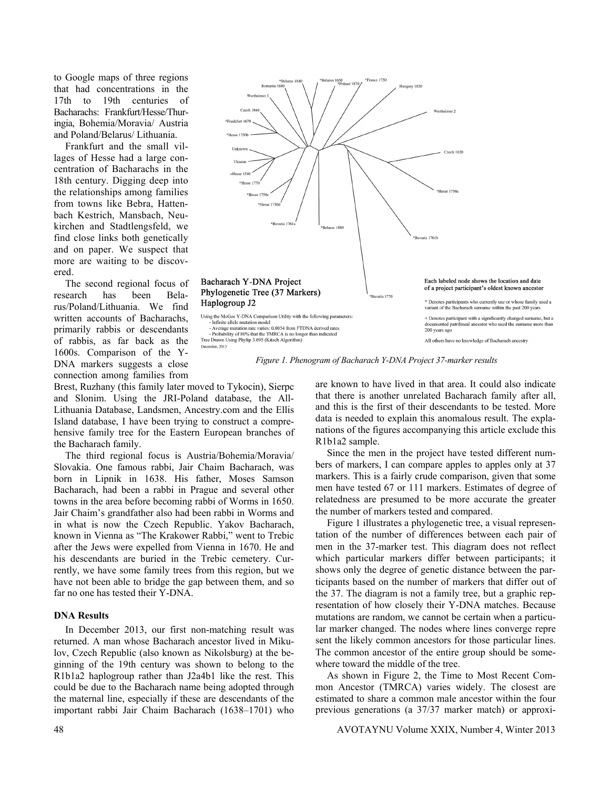to Google maps of three regions that had concentrations in the 17th to 19th centuries of Bacharachs: Frankfurt/Hesse/Thuringia, Bohemia/Moravia/ Austria and Poland/Belarus/ Lithuania.

 Frankfurt and the small villages of Hesse had a large concentration of Bacharachs in the 18th century. Digging deep into the relationships among families from towns like Bebra, Hattenbach Kestrich, Mansbach, Neukirchen and Stadtlengsfeld, we find close links both genetically and on paper. We suspect that more are waiting to be discovered.

 The second regional focus of research has been Belarus/Poland/Lithuania. We find written accounts of Bacharachs, primarily rabbis or descendants of rabbis, as far back as the 1600s. Comparison of the Y-DNA markers suggests a close connection among families from



*Figure 1. Phenogram of Bacharach Y-DNA Project 37-marker results* 

Brest, Ruzhany (this family later moved to Tykocin), Sierpc and Slonim. Using the JRI-Poland database, the All-Lithuania Database, Landsmen, Ancestry.com and the Ellis Island database, I have been trying to construct a comprehensive family tree for the Eastern European branches of the Bacharach family.

 The third regional focus is Austria/Bohemia/Moravia/ Slovakia. One famous rabbi, Jair Chaim Bacharach, was born in Lipnik in 1638. His father, Moses Samson Bacharach, had been a rabbi in Prague and several other towns in the area before becoming rabbi of Worms in 1650. Jair Chaim's grandfather also had been rabbi in Worms and in what is now the Czech Republic. Yakov Bacharach, known in Vienna as "The Krakower Rabbi," went to Trebic after the Jews were expelled from Vienna in 1670. He and his descendants are buried in the Trebic cemetery. Currently, we have some family trees from this region, but we have not been able to bridge the gap between them, and so far no one has tested their Y-DNA.

## **DNA Results**

 In December 2013, our first non-matching result was returned. A man whose Bacharach ancestor lived in Mikulov, Czech Republic (also known as Nikolsburg) at the beginning of the 19th century was shown to belong to the R1b1a2 haplogroup rather than J2a4b1 like the rest. This could be due to the Bacharach name being adopted through the maternal line, especially if these are descendants of the important rabbi Jair Chaim Bacharach (1638–1701) who

are known to have lived in that area. It could also indicate that there is another unrelated Bacharach family after all, and this is the first of their descendants to be tested. More data is needed to explain this anomalous result. The explanations of the figures accompanying this article exclude this R1b1a2 sample.

 Since the men in the project have tested different numbers of markers, I can compare apples to apples only at 37 markers. This is a fairly crude comparison, given that some men have tested 67 or 111 markers. Estimates of degree of relatedness are presumed to be more accurate the greater the number of markers tested and compared.

 Figure 1 illustrates a phylogenetic tree, a visual representation of the number of differences between each pair of men in the 37-marker test. This diagram does not reflect which particular markers differ between participants; it shows only the degree of genetic distance between the participants based on the number of markers that differ out of the 37. The diagram is not a family tree, but a graphic representation of how closely their Y-DNA matches. Because mutations are random, we cannot be certain when a particular marker changed. The nodes where lines converge repre sent the likely common ancestors for those particular lines. The common ancestor of the entire group should be somewhere toward the middle of the tree.

As shown in Figure 2, the Time to Most Recent Common Ancestor (TMRCA) varies widely. The closest are estimated to share a common male ancestor within the four previous generations (a 37/37 marker match) or approxi-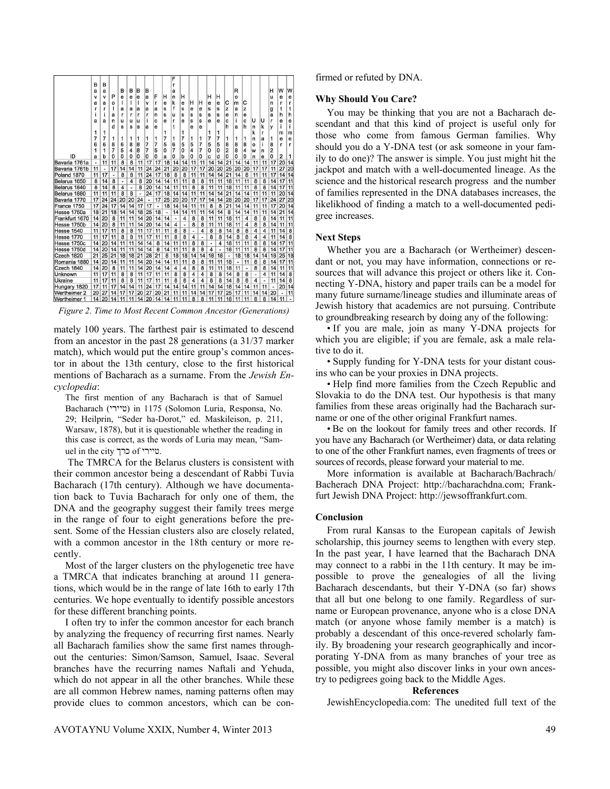

mately 100 years. The farthest pair is estimated to descend from an ancestor in the past 28 generations (a 31/37 marker match), which would put the entire group's common ancestor in about the 13th century, close to the first historical mentions of Bacharach as a surname. From the *Jewish Encyclopedia*:

The first mention of any Bacharach is that of Samuel Bacharach (טיירי) in 1175 (Solomon Luria, Responsa, No. 29; Heilprin, "Seder ha-Dorot," ed. Maskileison, p. 211, Warsaw, 1878), but it is questionable whether the reading in this case is correct, as the words of Luria may mean, "Samuel in the city כרך of טיירי.

 The TMRCA for the Belarus clusters is consistent with their common ancestor being a descendant of Rabbi Tuvia Bacharach (17th century). Although we have documentation back to Tuvia Bacharach for only one of them, the DNA and the geography suggest their family trees merge in the range of four to eight generations before the present. Some of the Hessian clusters also are closely related, with a common ancestor in the 18th century or more recently.

 Most of the larger clusters on the phylogenetic tree have a TMRCA that indicates branching at around 11 generations, which would be in the range of late 16th to early 17th centuries. We hope eventually to identify possible ancestors for these different branching points.

 I often try to infer the common ancestor for each branch by analyzing the frequency of recurring first names. Nearly all Bacharach families show the same first names throughout the centuries: Simon/Samson, Samuel, Isaac. Several branches have the recurring names Naftali and Yehuda, which do not appear in all the other branches. While these are all common Hebrew names, naming patterns often may provide clues to common ancestors, which can be confirmed or refuted by DNA.

#### **Why Should You Care?**

 You may be thinking that you are not a Bacharach descendant and that this kind of project is useful only for those who come from famous German families. Why should you do a Y-DNA test (or ask someone in your family to do one)? The answer is simple. You just might hit the jackpot and match with a well-documented lineage. As the science and the historical research progress and the number of families represented in the DNA databases increases, the likelikhood of finding a match to a well-documented pedigree increases.

#### **Next Steps**

 Whether you are a Bacharach (or Wertheimer) descendant or not, you may have information, connections or resources that will advance this project or others like it. Connecting Y-DNA, history and paper trails can be a model for many future surname/lineage studies and illuminate areas of Jewish history that academics are not pursuing. Contribute to groundbreaking research by doing any of the following:

 • If you are male, join as many Y-DNA projects for which you are eligible; if you are female, ask a male relative to do it.

 • Supply funding for Y-DNA tests for your distant cousins who can be your proxies in DNA projects.

 • Help find more families from the Czech Republic and Slovakia to do the DNA test. Our hypothesis is that many families from these areas originally had the Bacharach surname or one of the other original Frankfurt names.

 • Be on the lookout for family trees and other records. If you have any Bacharach (or Wertheimer) data, or data relating to one of the other Frankfurt names, even fragments of trees or sources of records, please forward your material to me.

 More information is available at Bacharach/Bachrach/ Bacherach DNA Project: http://bacharachdna.com; Frankfurt Jewish DNA Project: http://jewsoffrankfurt.com.

#### **Conclusion**

 From rural Kansas to the European capitals of Jewish scholarship, this journey seems to lengthen with every step. In the past year, I have learned that the Bacharach DNA may connect to a rabbi in the 11th century. It may be impossible to prove the genealogies of all the living Bacharach descendants, but their Y-DNA (so far) shows that all but one belong to one family. Regardless of surname or European provenance, anyone who is a close DNA match (or anyone whose family member is a match) is probably a descendant of this once-revered scholarly family. By broadening your research geographically and incorporating Y-DNA from as many branches of your tree as possible, you might also discover links in your own ancestry to pedigrees going back to the Middle Ages.

#### **References**

JewishEncyclopedia.com: The unedited full text of the